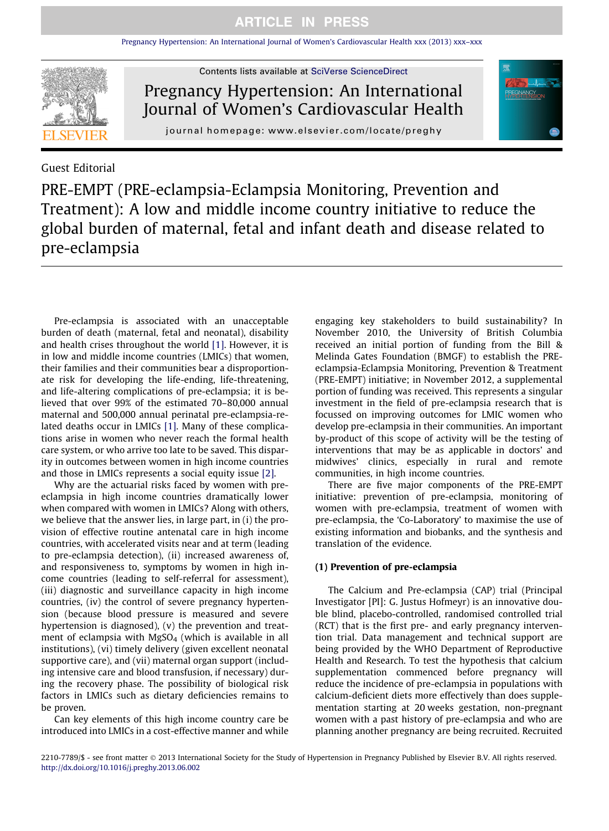[Pregnancy Hypertension: An International Journal of Women's Cardiovascular Health xxx \(2013\) xxx–xxx](http://dx.doi.org/10.1016/j.preghy.2013.06.002)



Contents lists available at [SciVerse ScienceDirect](http://www.sciencedirect.com/science/journal/22107789)

Pregnancy Hypertension: An International Journal of Women's Cardiovascular Health



journal homepage: [www.elsevier.com/locate/preghy](http://www.elsevier.com/locate/preghy)

# Guest Editorial

PRE-EMPT (PRE-eclampsia-Eclampsia Monitoring, Prevention and Treatment): A low and middle income country initiative to reduce the global burden of maternal, fetal and infant death and disease related to pre-eclampsia

Pre-eclampsia is associated with an unacceptable burden of death (maternal, fetal and neonatal), disability and health crises throughout the world [\[1\]](#page-3-0). However, it is in low and middle income countries (LMICs) that women, their families and their communities bear a disproportionate risk for developing the life-ending, life-threatening, and life-altering complications of pre-eclampsia; it is believed that over 99% of the estimated 70–80,000 annual maternal and 500,000 annual perinatal pre-eclampsia-related deaths occur in LMICs [\[1\].](#page-3-0) Many of these complications arise in women who never reach the formal health care system, or who arrive too late to be saved. This disparity in outcomes between women in high income countries and those in LMICs represents a social equity issue [\[2\]](#page-3-0).

Why are the actuarial risks faced by women with preeclampsia in high income countries dramatically lower when compared with women in LMICs? Along with others, we believe that the answer lies, in large part, in (i) the provision of effective routine antenatal care in high income countries, with accelerated visits near and at term (leading to pre-eclampsia detection), (ii) increased awareness of, and responsiveness to, symptoms by women in high income countries (leading to self-referral for assessment), (iii) diagnostic and surveillance capacity in high income countries, (iv) the control of severe pregnancy hypertension (because blood pressure is measured and severe hypertension is diagnosed), (v) the prevention and treatment of eclampsia with  $MgSO<sub>4</sub>$  (which is available in all institutions), (vi) timely delivery (given excellent neonatal supportive care), and (vii) maternal organ support (including intensive care and blood transfusion, if necessary) during the recovery phase. The possibility of biological risk factors in LMICs such as dietary deficiencies remains to be proven.

Can key elements of this high income country care be introduced into LMICs in a cost-effective manner and while engaging key stakeholders to build sustainability? In November 2010, the University of British Columbia received an initial portion of funding from the Bill & Melinda Gates Foundation (BMGF) to establish the PREeclampsia-Eclampsia Monitoring, Prevention & Treatment (PRE-EMPT) initiative; in November 2012, a supplemental portion of funding was received. This represents a singular investment in the field of pre-eclampsia research that is focussed on improving outcomes for LMIC women who develop pre-eclampsia in their communities. An important by-product of this scope of activity will be the testing of interventions that may be as applicable in doctors' and midwives' clinics, especially in rural and remote communities, in high income countries.

There are five major components of the PRE-EMPT initiative: prevention of pre-eclampsia, monitoring of women with pre-eclampsia, treatment of women with pre-eclampsia, the 'Co-Laboratory' to maximise the use of existing information and biobanks, and the synthesis and translation of the evidence.

## (1) Prevention of pre-eclampsia

The Calcium and Pre-eclampsia (CAP) trial (Principal Investigator [PI]: G. Justus Hofmeyr) is an innovative double blind, placebo-controlled, randomised controlled trial (RCT) that is the first pre- and early pregnancy intervention trial. Data management and technical support are being provided by the WHO Department of Reproductive Health and Research. To test the hypothesis that calcium supplementation commenced before pregnancy will reduce the incidence of pre-eclampsia in populations with calcium-deficient diets more effectively than does supplementation starting at 20 weeks gestation, non-pregnant women with a past history of pre-eclampsia and who are planning another pregnancy are being recruited. Recruited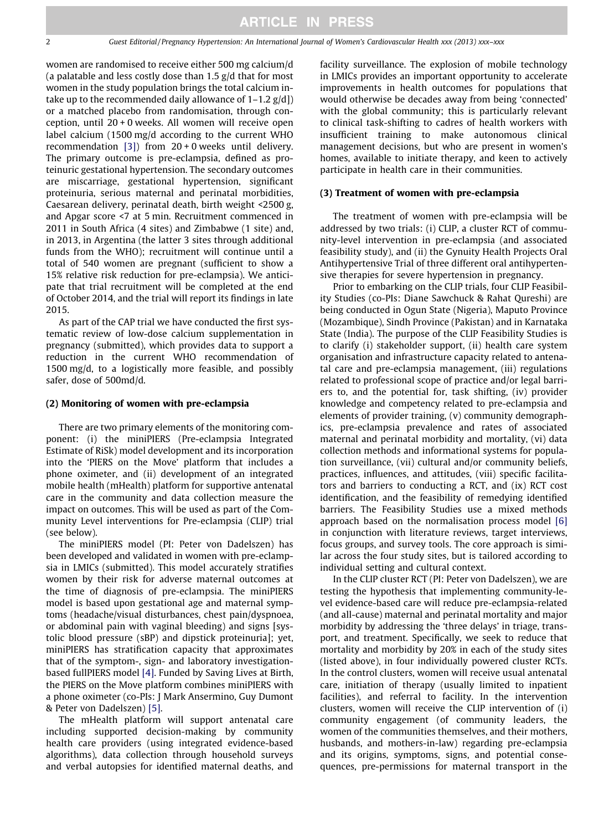women are randomised to receive either 500 mg calcium/d (a palatable and less costly dose than 1.5 g/d that for most women in the study population brings the total calcium intake up to the recommended daily allowance of  $1-1.2$  g/dl) or a matched placebo from randomisation, through conception, until 20 + 0 weeks. All women will receive open label calcium (1500 mg/d according to the current WHO recommendation  $[3]$ ) from  $20 + 0$  weeks until delivery. The primary outcome is pre-eclampsia, defined as proteinuric gestational hypertension. The secondary outcomes are miscarriage, gestational hypertension, significant proteinuria, serious maternal and perinatal morbidities, Caesarean delivery, perinatal death, birth weight <2500 g, and Apgar score <7 at 5 min. Recruitment commenced in 2011 in South Africa (4 sites) and Zimbabwe (1 site) and, in 2013, in Argentina (the latter 3 sites through additional funds from the WHO); recruitment will continue until a total of 540 women are pregnant (sufficient to show a 15% relative risk reduction for pre-eclampsia). We anticipate that trial recruitment will be completed at the end of October 2014, and the trial will report its findings in late 2015.

As part of the CAP trial we have conducted the first systematic review of low-dose calcium supplementation in pregnancy (submitted), which provides data to support a reduction in the current WHO recommendation of 1500 mg/d, to a logistically more feasible, and possibly safer, dose of 500md/d.

### (2) Monitoring of women with pre-eclampsia

There are two primary elements of the monitoring component: (i) the miniPIERS (Pre-eclampsia Integrated Estimate of RiSk) model development and its incorporation into the 'PIERS on the Move' platform that includes a phone oximeter, and (ii) development of an integrated mobile health (mHealth) platform for supportive antenatal care in the community and data collection measure the impact on outcomes. This will be used as part of the Community Level interventions for Pre-eclampsia (CLIP) trial (see below).

The miniPIERS model (PI: Peter von Dadelszen) has been developed and validated in women with pre-eclampsia in LMICs (submitted). This model accurately stratifies women by their risk for adverse maternal outcomes at the time of diagnosis of pre-eclampsia. The miniPIERS model is based upon gestational age and maternal symptoms (headache/visual disturbances, chest pain/dyspnoea, or abdominal pain with vaginal bleeding) and signs [systolic blood pressure (sBP) and dipstick proteinuria]; yet, miniPIERS has stratification capacity that approximates that of the symptom-, sign- and laboratory investigationbased fullPIERS model [\[4\].](#page-3-0) Funded by Saving Lives at Birth, the PIERS on the Move platform combines miniPIERS with a phone oximeter (co-PIs: J Mark Ansermino, Guy Dumont & Peter von Dadelszen) [\[5\]](#page-3-0).

The mHealth platform will support antenatal care including supported decision-making by community health care providers (using integrated evidence-based algorithms), data collection through household surveys and verbal autopsies for identified maternal deaths, and

facility surveillance. The explosion of mobile technology in LMICs provides an important opportunity to accelerate improvements in health outcomes for populations that would otherwise be decades away from being 'connected' with the global community; this is particularly relevant to clinical task-shifting to cadres of health workers with insufficient training to make autonomous clinical management decisions, but who are present in women's homes, available to initiate therapy, and keen to actively participate in health care in their communities.

#### (3) Treatment of women with pre-eclampsia

The treatment of women with pre-eclampsia will be addressed by two trials: (i) CLIP, a cluster RCT of community-level intervention in pre-eclampsia (and associated feasibility study), and (ii) the Gynuity Health Projects Oral Antihypertensive Trial of three different oral antihypertensive therapies for severe hypertension in pregnancy.

Prior to embarking on the CLIP trials, four CLIP Feasibility Studies (co-PIs: Diane Sawchuck & Rahat Qureshi) are being conducted in Ogun State (Nigeria), Maputo Province (Mozambique), Sindh Province (Pakistan) and in Karnataka State (India). The purpose of the CLIP Feasibility Studies is to clarify (i) stakeholder support, (ii) health care system organisation and infrastructure capacity related to antenatal care and pre-eclampsia management, (iii) regulations related to professional scope of practice and/or legal barriers to, and the potential for, task shifting, (iv) provider knowledge and competency related to pre-eclampsia and elements of provider training, (v) community demographics, pre-eclampsia prevalence and rates of associated maternal and perinatal morbidity and mortality, (vi) data collection methods and informational systems for population surveillance, (vii) cultural and/or community beliefs, practices, influences, and attitudes, (viii) specific facilitators and barriers to conducting a RCT, and (ix) RCT cost identification, and the feasibility of remedying identified barriers. The Feasibility Studies use a mixed methods approach based on the normalisation process model [\[6\]](#page-3-0) in conjunction with literature reviews, target interviews, focus groups, and survey tools. The core approach is similar across the four study sites, but is tailored according to individual setting and cultural context.

In the CLIP cluster RCT (PI: Peter von Dadelszen), we are testing the hypothesis that implementing community-level evidence-based care will reduce pre-eclampsia-related (and all-cause) maternal and perinatal mortality and major morbidity by addressing the 'three delays' in triage, transport, and treatment. Specifically, we seek to reduce that mortality and morbidity by 20% in each of the study sites (listed above), in four individually powered cluster RCTs. In the control clusters, women will receive usual antenatal care, initiation of therapy (usually limited to inpatient facilities), and referral to facility. In the intervention clusters, women will receive the CLIP intervention of (i) community engagement (of community leaders, the women of the communities themselves, and their mothers, husbands, and mothers-in-law) regarding pre-eclampsia and its origins, symptoms, signs, and potential consequences, pre-permissions for maternal transport in the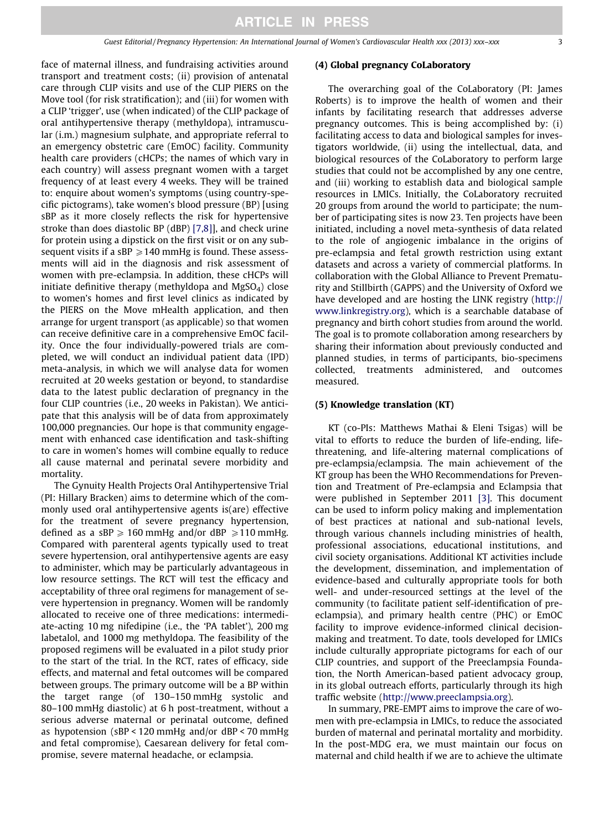face of maternal illness, and fundraising activities around transport and treatment costs; (ii) provision of antenatal care through CLIP visits and use of the CLIP PIERS on the Move tool (for risk stratification); and (iii) for women with a CLIP 'trigger', use (when indicated) of the CLIP package of oral antihypertensive therapy (methyldopa), intramuscular (i.m.) magnesium sulphate, and appropriate referral to an emergency obstetric care (EmOC) facility. Community health care providers (cHCPs; the names of which vary in each country) will assess pregnant women with a target frequency of at least every 4 weeks. They will be trained to: enquire about women's symptoms (using country-specific pictograms), take women's blood pressure (BP) [using sBP as it more closely reflects the risk for hypertensive stroke than does diastolic BP (dBP) [\[7,8\]\]](#page-3-0), and check urine for protein using a dipstick on the first visit or on any subsequent visits if a sBP  $\geq$  140 mmHg is found. These assessments will aid in the diagnosis and risk assessment of women with pre-eclampsia. In addition, these cHCPs will initiate definitive therapy (methyldopa and MgSO<sub>4</sub>) close to women's homes and first level clinics as indicated by the PIERS on the Move mHealth application, and then arrange for urgent transport (as applicable) so that women can receive definitive care in a comprehensive EmOC facility. Once the four individually-powered trials are completed, we will conduct an individual patient data (IPD) meta-analysis, in which we will analyse data for women recruited at 20 weeks gestation or beyond, to standardise data to the latest public declaration of pregnancy in the four CLIP countries (i.e., 20 weeks in Pakistan). We anticipate that this analysis will be of data from approximately 100,000 pregnancies. Our hope is that community engagement with enhanced case identification and task-shifting to care in women's homes will combine equally to reduce all cause maternal and perinatal severe morbidity and mortality.

The Gynuity Health Projects Oral Antihypertensive Trial (PI: Hillary Bracken) aims to determine which of the commonly used oral antihypertensive agents is(are) effective for the treatment of severe pregnancy hypertension, defined as a sBP  $\geq$  160 mmHg and/or dBP  $\geq$  110 mmHg. Compared with parenteral agents typically used to treat severe hypertension, oral antihypertensive agents are easy to administer, which may be particularly advantageous in low resource settings. The RCT will test the efficacy and acceptability of three oral regimens for management of severe hypertension in pregnancy. Women will be randomly allocated to receive one of three medications: intermediate-acting 10 mg nifedipine (i.e., the 'PA tablet'), 200 mg labetalol, and 1000 mg methyldopa. The feasibility of the proposed regimens will be evaluated in a pilot study prior to the start of the trial. In the RCT, rates of efficacy, side effects, and maternal and fetal outcomes will be compared between groups. The primary outcome will be a BP within the target range (of 130–150 mmHg systolic and 80–100 mmHg diastolic) at 6 h post-treatment, without a serious adverse maternal or perinatal outcome, defined as hypotension (sBP < 120 mmHg and/or dBP < 70 mmHg and fetal compromise), Caesarean delivery for fetal compromise, severe maternal headache, or eclampsia.

#### (4) Global pregnancy CoLaboratory

The overarching goal of the CoLaboratory (PI: James Roberts) is to improve the health of women and their infants by facilitating research that addresses adverse pregnancy outcomes. This is being accomplished by: (i) facilitating access to data and biological samples for investigators worldwide, (ii) using the intellectual, data, and biological resources of the CoLaboratory to perform large studies that could not be accomplished by any one centre, and (iii) working to establish data and biological sample resources in LMICs. Initially, the CoLaboratory recruited 20 groups from around the world to participate; the number of participating sites is now 23. Ten projects have been initiated, including a novel meta-synthesis of data related to the role of angiogenic imbalance in the origins of pre-eclampsia and fetal growth restriction using extant datasets and across a variety of commercial platforms. In collaboration with the Global Alliance to Prevent Prematurity and Stillbirth (GAPPS) and the University of Oxford we have developed and are hosting the LINK registry [\(http://](http://www.linkregistry.org) [www.linkregistry.org](http://www.linkregistry.org)), which is a searchable database of pregnancy and birth cohort studies from around the world. The goal is to promote collaboration among researchers by sharing their information about previously conducted and planned studies, in terms of participants, bio-specimens collected, treatments administered, and outcomes measured.

### (5) Knowledge translation (KT)

KT (co-PIs: Matthews Mathai & Eleni Tsigas) will be vital to efforts to reduce the burden of life-ending, lifethreatening, and life-altering maternal complications of pre-eclampsia/eclampsia. The main achievement of the KT group has been the WHO Recommendations for Prevention and Treatment of Pre-eclampsia and Eclampsia that were published in September 2011 [\[3\]](#page-3-0). This document can be used to inform policy making and implementation of best practices at national and sub-national levels, through various channels including ministries of health, professional associations, educational institutions, and civil society organisations. Additional KT activities include the development, dissemination, and implementation of evidence-based and culturally appropriate tools for both well- and under-resourced settings at the level of the community (to facilitate patient self-identification of preeclampsia), and primary health centre (PHC) or EmOC facility to improve evidence-informed clinical decisionmaking and treatment. To date, tools developed for LMICs include culturally appropriate pictograms for each of our CLIP countries, and support of the Preeclampsia Foundation, the North American-based patient advocacy group, in its global outreach efforts, particularly through its high traffic website [\(http://www.preeclampsia.org](http://www.preeclampsia.org)).

In summary, PRE-EMPT aims to improve the care of women with pre-eclampsia in LMICs, to reduce the associated burden of maternal and perinatal mortality and morbidity. In the post-MDG era, we must maintain our focus on maternal and child health if we are to achieve the ultimate